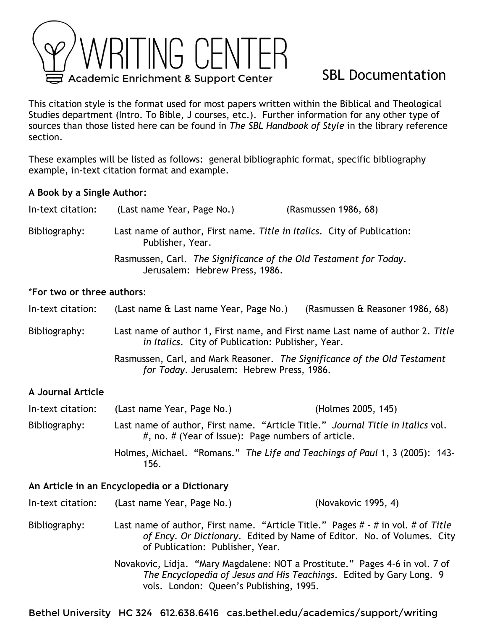

# SBL Documentation

This citation style is the format used for most papers written within the Biblical and Theological Studies department (Intro. To Bible, J courses, etc.). Further information for any other type of sources than those listed here can be found in *The SBL Handbook of Style* in the library reference section.

These examples will be listed as follows: general bibliographic format, specific bibliography example, in-text citation format and example.

# **A Book by a Single Author:**

| In-text citation: | (Last name Year, Page No.)                                                                  | (Rasmussen 1986, 68)                                              |
|-------------------|---------------------------------------------------------------------------------------------|-------------------------------------------------------------------|
| Bibliography:     | Last name of author, First name. Title in Italics. City of Publication:<br>Publisher, Year. |                                                                   |
|                   | Jerusalem: Hebrew Press, 1986.                                                              | Rasmussen, Carl. The Significance of the Old Testament for Today. |

### \***For two or three authors**:

In-text citation: (Last name & Last name Year, Page No.) (Rasmussen & Reasoner 1986, 68)

Bibliography: Last name of author 1, First name, and First name Last name of author 2. *Title in Italics*. City of Publication: Publisher, Year.

> Rasmussen, Carl, and Mark Reasoner. *The Significance of the Old Testament for Today*. Jerusalem: Hebrew Press, 1986.

# **A Journal Article**

| In-text citation: | (Last name Year, Page No.) | (Holmes 2005, 145)                                                                                                                           |
|-------------------|----------------------------|----------------------------------------------------------------------------------------------------------------------------------------------|
| Bibliography:     |                            | Last name of author, First name. "Article Title." Journal Title in Italics vol.<br>$\#$ , no. $\#$ (Year of Issue): Page numbers of article. |
|                   | 156.                       | Holmes, Michael. "Romans." The Life and Teachings of Paul 1, 3 (2005): 143-                                                                  |

### **An Article in an Encyclopedia or a Dictionary**

| In-text citation: | (Last name Year, Page No.)       | (Novakovic 1995, 4)                                                                                                                                                 |
|-------------------|----------------------------------|---------------------------------------------------------------------------------------------------------------------------------------------------------------------|
| Bibliography:     | of Publication: Publisher, Year. | Last name of author, First name. "Article Title." Pages $\#$ - $\#$ in vol. $\#$ of Title<br>of Ency. Or Dictionary. Edited by Name of Editor. No. of Volumes. City |
|                   |                                  |                                                                                                                                                                     |

Novakovic, Lidja. "Mary Magdalene: NOT a Prostitute." Pages 4-6 in vol. 7 of *The Encyclopedia of Jesus and His Teachings*. Edited by Gary Long. 9 vols. London: Queen's Publishing, 1995.